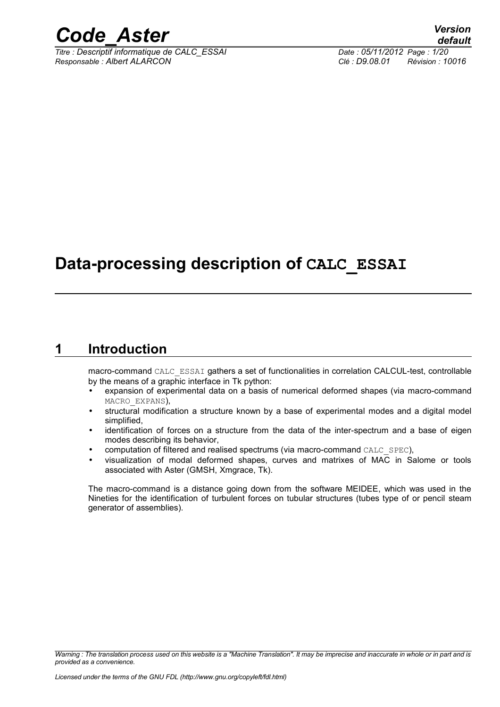

*Titre : Descriptif informatique de CALC\_ESSAI Date : 05/11/2012 Page : 1/20 Responsable : Albert ALARCON Clé : D9.08.01 Révision : 10016*

## **Data-processing description of CALC\_ESSAI**

## **1 Introduction**

macro-command CALC\_ESSAI gathers a set of functionalities in correlation CALCUL-test, controllable by the means of a graphic interface in Tk python:

- expansion of experimental data on a basis of numerical deformed shapes (via macro-command MACRO\_EXPANS),
- structural modification a structure known by a base of experimental modes and a digital model simplified,
- identification of forces on a structure from the data of the inter-spectrum and a base of eigen modes describing its behavior,
- computation of filtered and realised spectrums (via macro-command CALC SPEC),
- visualization of modal deformed shapes, curves and matrixes of MAC in Salome or tools associated with Aster (GMSH, Xmgrace, Tk).

The macro-command is a distance going down from the software MEIDEE, which was used in the Nineties for the identification of turbulent forces on tubular structures (tubes type of or pencil steam generator of assemblies).

*Warning : The translation process used on this website is a "Machine Translation". It may be imprecise and inaccurate in whole or in part and is provided as a convenience.*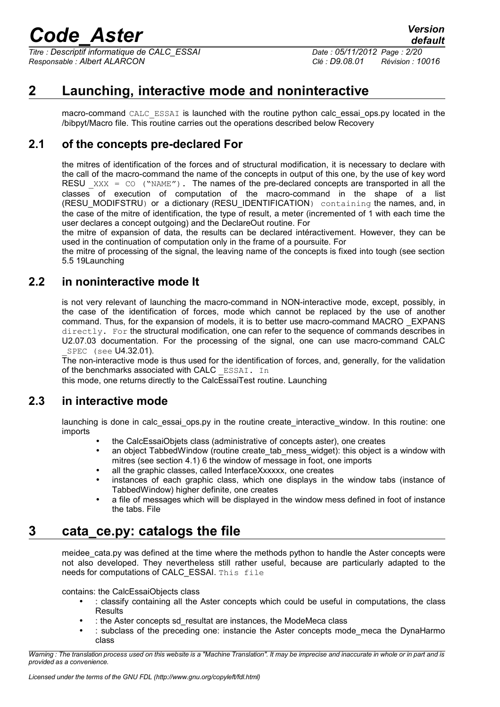*Titre : Descriptif informatique de CALC\_ESSAI Date : 05/11/2012 Page : 2/20 Responsable : Albert ALARCON Clé : D9.08.01 Révision : 10016*

## **2 Launching, interactive mode and noninteractive**

macro-command CALC\_ESSAI is launched with the routine python calc\_essai\_ops.py located in the /bibpyt/Macro file. This routine carries out the operations described below Recovery

## **2.1 of the concepts pre-declared For**

the mitres of identification of the forces and of structural modification, it is necessary to declare with the call of the macro-command the name of the concepts in output of this one, by the use of key word RESU  $XXX = CO$  ("NAME"). The names of the pre-declared concepts are transported in all the classes of execution of computation of the macro-command in the shape of a list (RESU\_MODIFSTRU) or a dictionary (RESU\_IDENTIFICATION) containing the names, and, in the case of the mitre of identification, the type of result, a meter (incremented of 1 with each time the user declares a concept outgoing) and the DeclareOut routine. For

the mitre of expansion of data, the results can be declared intéractivement. However, they can be used in the continuation of computation only in the frame of a poursuite. For

the mitre of processing of the signal, the leaving name of the concepts is fixed into tough (see section 5.5 [19L](#page-18-0)aunching

## **2.2 in noninteractive mode It**

is not very relevant of launching the macro-command in NON-interactive mode, except, possibly, in the case of the identification of forces, mode which cannot be replaced by the use of another command. Thus, for the expansion of models, it is to better use macro-command MACRO \_EXPANS directly. For the structural modification, one can refer to the sequence of commands describes in U2.07.03 documentation. For the processing of the signal, one can use macro-command CALC \_SPEC (see U4.32.01).

The non-interactive mode is thus used for the identification of forces, and, generally, for the validation of the benchmarks associated with CALC ESSAI. In

this mode, one returns directly to the CalcEssaiTest routine. Launching

## **2.3 in interactive mode**

launching is done in calc\_essai\_ops.py in the routine create\_interactive\_window. In this routine: one imports

- the CalcEssaiObjets class (administrative of concepts aster), one creates
- an object TabbedWindow (routine create tab mess widget): this object is a window with mitres (see section 4.1) [6](#page-5-0) the window of message in foot, one imports
- all the graphic classes, called InterfaceXxxxxx, one creates
- instances of each graphic class, which one displays in the window tabs (instance of TabbedWindow) higher definite, one creates
- a file of messages which will be displayed in the window mess defined in foot of instance the tabs. File

## **3 cata\_ce.py: catalogs the file**

meidee cata.py was defined at the time where the methods python to handle the Aster concepts were not also developed. They nevertheless still rather useful, because are particularly adapted to the needs for computations of CALC\_ESSAI. This file

contains: the CalcEssaiObjects class

- : classify containing all the Aster concepts which could be useful in computations, the class **Results**
- : the Aster concepts sd\_resultat are instances, the ModeMeca class
- : subclass of the preceding one: instancie the Aster concepts mode\_meca the DynaHarmo class

*Warning : The translation process used on this website is a "Machine Translation". It may be imprecise and inaccurate in whole or in part and is provided as a convenience.*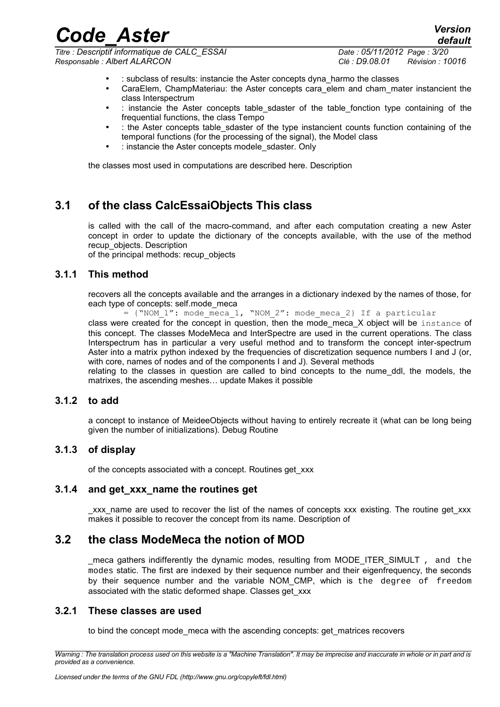*Titre : Descriptif informatique de CALC\_ESSAI Date : 05/11/2012 Page : 3/20 Responsable : Albert ALARCON Clé : D9.08.01 Révision : 10016*

*default*

- : subclass of results: instancie the Aster concepts dyna\_harmo the classes
- CaraElem, ChampMateriau: the Aster concepts cara elem and cham\_mater instancient the class Interspectrum
- : instancie the Aster concepts table sdaster of the table fonction type containing of the frequential functions, the class Tempo
- : the Aster concepts table sdaster of the type instancient counts function containing of the temporal functions (for the processing of the signal), the Model class
- : instancie the Aster concepts modele sdaster. Only

the classes most used in computations are described here. Description

## **3.1 of the class CalcEssaiObjects This class**

is called with the call of the macro-command, and after each computation creating a new Aster concept in order to update the dictionary of the concepts available, with the use of the method recup\_objects. Description

of the principal methods: recup\_objects

#### **3.1.1 This method**

recovers all the concepts available and the arranges in a dictionary indexed by the names of those, for each type of concepts: self.mode\_meca

=  $\{$  "NOM 1": mode meca 1, "NOM 2": mode meca 2} If a particular class were created for the concept in question, then the mode\_meca\_X object will be instance of this concept. The classes ModeMeca and InterSpectre are used in the current operations. The class Interspectrum has in particular a very useful method and to transform the concept inter-spectrum Aster into a matrix python indexed by the frequencies of discretization sequence numbers I and J (or, with core, names of nodes and of the components I and J). Several methods

relating to the classes in question are called to bind concepts to the nume\_ddl, the models, the matrixes, the ascending meshes… update Makes it possible

#### **3.1.2 to add**

a concept to instance of MeideeObjects without having to entirely recreate it (what can be long being given the number of initializations). Debug Routine

#### **3.1.3 of display**

of the concepts associated with a concept. Routines get\_xxx

#### **3.1.4 and get\_xxx\_name the routines get**

xxx name are used to recover the list of the names of concepts xxx existing. The routine get xxx makes it possible to recover the concept from its name. Description of

### **3.2 the class ModeMeca the notion of MOD**

\_meca gathers indifferently the dynamic modes, resulting from MODE\_ITER\_SIMULT , and the modes static. The first are indexed by their sequence number and their eigenfrequency, the seconds by their sequence number and the variable NOM CMP, which is the degree of freedom associated with the static deformed shape. Classes get\_xxx

#### **3.2.1 These classes are used**

to bind the concept mode\_meca with the ascending concepts: get\_matrices recovers

*Warning : The translation process used on this website is a "Machine Translation". It may be imprecise and inaccurate in whole or in part and is provided as a convenience.*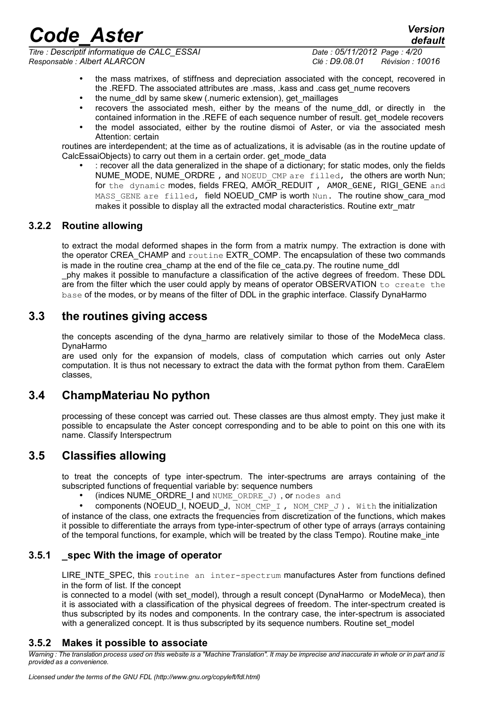*Titre : Descriptif informatique de CALC\_ESSAI Date : 05/11/2012 Page : 4/20 Responsable : Albert ALARCON Clé : D9.08.01 Révision : 10016*

*default*

- the mass matrixes, of stiffness and depreciation associated with the concept, recovered in the .REFD. The associated attributes are .mass, .kass and .cass get nume recovers
- the nume\_ddl by same skew (.numeric extension), get\_maillages
- recovers the associated mesh, either by the means of the nume ddl, or directly in the contained information in the .REFE of each sequence number of result, get modele recovers
- the model associated, either by the routine dismoi of Aster, or via the associated mesh Attention: certain

routines are interdependent; at the time as of actualizations, it is advisable (as in the routine update of CalcEssaiObjects) to carry out them in a certain order, get mode data

• : recover all the data generalized in the shape of a dictionary; for static modes, only the fields NUME\_MODE, NUME\_ORDRE, and NOEUD CMP are filled, the others are worth Nun; for the dynamic modes, fields FREQ, AMOR REDUIT, AMOR GENE, RIGI GENE and MASS GENE are filled, field NOEUD\_CMP is worth Nun. The routine show\_cara\_mod makes it possible to display all the extracted modal characteristics. Routine extr\_matr

## **3.2.2 Routine allowing**

to extract the modal deformed shapes in the form from a matrix numpy. The extraction is done with the operator CREA\_CHAMP and routine EXTR\_COMP. The encapsulation of these two commands is made in the routine crea champ at the end of the file ce cata.py. The routine nume ddl \_phy makes it possible to manufacture a classification of the active degrees of freedom. These DDL are from the filter which the user could apply by means of operator OBSERVATION to create the base of the modes, or by means of the filter of DDL in the graphic interface. Classify DynaHarmo

## **3.3 the routines giving access**

the concepts ascending of the dyna\_harmo are relatively similar to those of the ModeMeca class. DynaHarmo

are used only for the expansion of models, class of computation which carries out only Aster computation. It is thus not necessary to extract the data with the format python from them. CaraElem classes,

## **3.4 ChampMateriau No python**

processing of these concept was carried out. These classes are thus almost empty. They just make it possible to encapsulate the Aster concept corresponding and to be able to point on this one with its name. Classify Interspectrum

## **3.5 Classifies allowing**

to treat the concepts of type inter-spectrum. The inter-spectrums are arrays containing of the subscripted functions of frequential variable by: sequence numbers

(indices NUME\_ORDRE\_I and NUME\_ORDRE\_J), or nodes and

components (NOEUD\_I, NOEUD\_J, NOM CMP I, NOM CMP J). With the initialization of instance of the class, one extracts the frequencies from discretization of the functions, which makes it possible to differentiate the arrays from type-inter-spectrum of other type of arrays (arrays containing of the temporal functions, for example, which will be treated by the class Tempo). Routine make\_inte

## **3.5.1 \_spec With the image of operator**

LIRE INTE SPEC, this routine an inter-spectrum manufactures Aster from functions defined in the form of list. If the concept

is connected to a model (with set model), through a result concept (DynaHarmo or ModeMeca), then it is associated with a classification of the physical degrees of freedom. The inter-spectrum created is thus subscripted by its nodes and components. In the contrary case, the inter-spectrum is associated with a generalized concept. It is thus subscripted by its sequence numbers. Routine set\_model

## **3.5.2 Makes it possible to associate**

*Warning : The translation process used on this website is a "Machine Translation". It may be imprecise and inaccurate in whole or in part and is provided as a convenience.*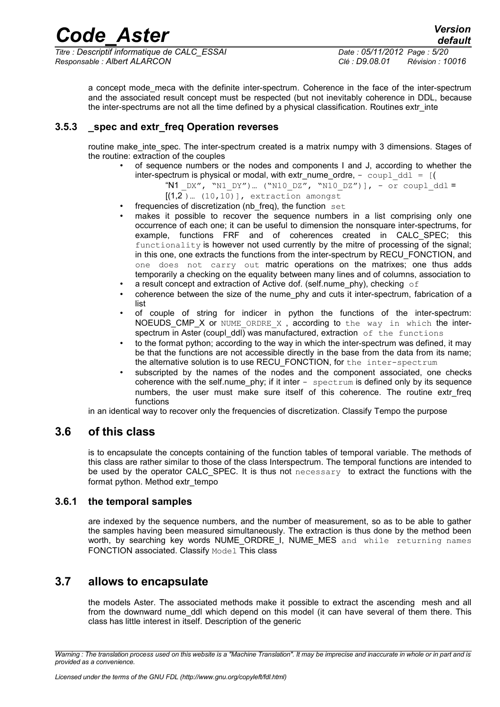*Titre : Descriptif informatique de CALC\_ESSAI Date : 05/11/2012 Page : 5/20 Responsable : Albert ALARCON Clé : D9.08.01 Révision : 10016*

*default*

a concept mode meca with the definite inter-spectrum. Coherence in the face of the inter-spectrum and the associated result concept must be respected (but not inevitably coherence in DDL, because the inter-spectrums are not all the time defined by a physical classification. Routines extrainte

### **3.5.3 \_spec and extr\_freq Operation reverses**

routine make inte\_spec. The inter-spectrum created is a matrix numpy with 3 dimensions. Stages of the routine: extraction of the couples

• of sequence numbers or the nodes and components I and J, according to whether the inter-spectrum is physical or modal, with extr\_nume\_ordre,  $-$  coupl\_ddl =  $[($ 

"N1  $DX''$ , "N1  $DY''$ ) ... ("N10  $DZ''$ , "N10  $DZ''$ )], - or coupl ddl =

- $[(1,2)$  ...  $(10,10)$ ], extraction amongst
- frequencies of discretization (nb\_freq), the function set
- makes it possible to recover the sequence numbers in a list comprising only one occurrence of each one; it can be useful to dimension the nonsquare inter-spectrums, for example, functions FRF and of coherences created in CALC\_SPEC; this functionality is however not used currently by the mitre of processing of the signal; in this one, one extracts the functions from the inter-spectrum by RECU\_FONCTION, and one does not carry out matric operations on the matrixes; one thus adds temporarily a checking on the equality between many lines and of columns, association to
- a result concept and extraction of Active dof. (self.nume\_phy), checking  $\circ$  f
- coherence between the size of the nume\_phy and cuts it inter-spectrum, fabrication of a list
- of couple of string for indicer in python the functions of the inter-spectrum: NOEUDS CMP X or NUME ORDRE  $X$ , according to the way in which the interspectrum in Aster (coupl\_ddl) was manufactured, extraction  $of$  the functions
- to the format python; according to the way in which the inter-spectrum was defined, it may be that the functions are not accessible directly in the base from the data from its name; the alternative solution is to use RECU\_FONCTION, for the inter-spectrum
- subscripted by the names of the nodes and the component associated, one checks coherence with the self.nume  $phy$ ; if it inter  $-$  spectrum is defined only by its sequence numbers, the user must make sure itself of this coherence. The routine extr freq functions

in an identical way to recover only the frequencies of discretization. Classify Tempo the purpose

## **3.6 of this class**

is to encapsulate the concepts containing of the function tables of temporal variable. The methods of this class are rather similar to those of the class Interspectrum. The temporal functions are intended to be used by the operator CALC\_SPEC. It is thus not necessary to extract the functions with the format python. Method extr\_tempo

#### **3.6.1 the temporal samples**

are indexed by the sequence numbers, and the number of measurement, so as to be able to gather the samples having been measured simultaneously. The extraction is thus done by the method been worth, by searching key words NUME\_ORDRE I, NUME\_MES and while returning names FONCTION associated. Classify Model This class

## **3.7 allows to encapsulate**

the models Aster. The associated methods make it possible to extract the ascending mesh and all from the downward nume ddl which depend on this model (it can have several of them there. This class has little interest in itself. Description of the generic

*Warning : The translation process used on this website is a "Machine Translation". It may be imprecise and inaccurate in whole or in part and is provided as a convenience.*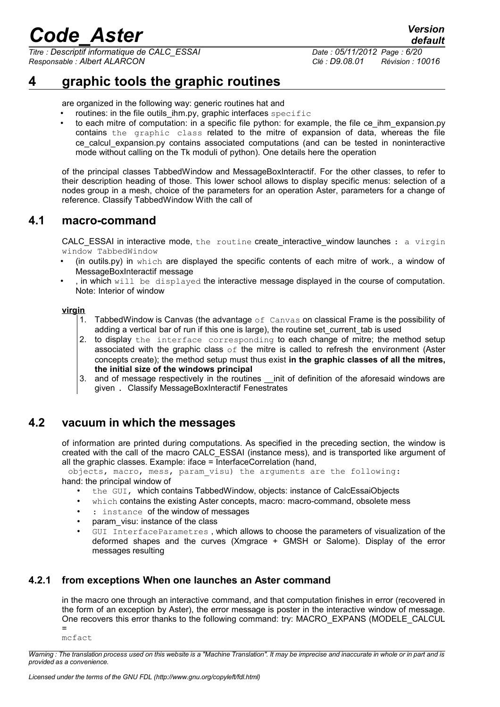*Titre : Descriptif informatique de CALC\_ESSAI Date : 05/11/2012 Page : 6/20 Responsable : Albert ALARCON Clé : D9.08.01 Révision : 10016*

*default*

## **4 graphic tools the graphic routines**

are organized in the following way: generic routines hat and

- routines: in the file outils  $\lim.py$ , graphic interfaces specific
- to each mitre of computation: in a specific file python: for example, the file ce ihm expansion.py contains the graphic class related to the mitre of expansion of data, whereas the file ce calcul expansion.py contains associated computations (and can be tested in noninteractive mode without calling on the Tk moduli of python). One details here the operation

of the principal classes TabbedWindow and MessageBoxInteractif. For the other classes, to refer to their description heading of those. This lower school allows to display specific menus: selection of a nodes group in a mesh, choice of the parameters for an operation Aster, parameters for a change of reference. Classify TabbedWindow With the call of

## **4.1 macro-command**

<span id="page-5-0"></span>CALC\_ESSAI in interactive mode, the routine create\_interactive\_window launches : a virgin window TabbedWindow

- (in outils.py) in which are displayed the specific contents of each mitre of work., a window of MessageBoxInteractif message
- , in which  $with$   $\frac{1}{1}$  be displayed the interactive message displayed in the course of computation. Note: Interior of window

#### **virgin**

- 1. TabbedWindow is Canvas (the advantage of Canvas on classical Frame is the possibility of adding a vertical bar of run if this one is large), the routine set current tab is used
- 2. to display the interface corresponding to each change of mitre; the method setup associated with the graphic class  $\circ$  f the mitre is called to refresh the environment (Aster concepts create); the method setup must thus exist **in the graphic classes of all the mitres, the initial size of the windows principal**
- 3. and of message respectively in the routines \_\_init of definition of the aforesaid windows are given . Classify MessageBoxInteractif Fenestrates

## **4.2 vacuum in which the messages**

of information are printed during computations. As specified in the preceding section, the window is created with the call of the macro CALC\_ESSAI (instance mess), and is transported like argument of all the graphic classes. Example: iface  $=$  InterfaceCorrelation (hand,

objects, macro, mess, param\_visu) the arguments are the following:

hand: the principal window of

- the GUI, which contains TabbedWindow, objects: instance of CalcEssaiObjects
- which contains the existing Aster concepts, macro: macro-command, obsolete mess
- : instance of the window of messages
- param visu: instance of the class
- GUI InterfaceParametres , which allows to choose the parameters of visualization of the deformed shapes and the curves (Xmgrace + GMSH or Salome). Display of the error messages resulting

### **4.2.1 from exceptions When one launches an Aster command**

in the macro one through an interactive command, and that computation finishes in error (recovered in the form of an exception by Aster), the error message is poster in the interactive window of message. One recovers this error thanks to the following command: try: MACRO\_EXPANS (MODELE\_CALCUL =

mcfact

*Warning : The translation process used on this website is a "Machine Translation". It may be imprecise and inaccurate in whole or in part and is provided as a convenience.*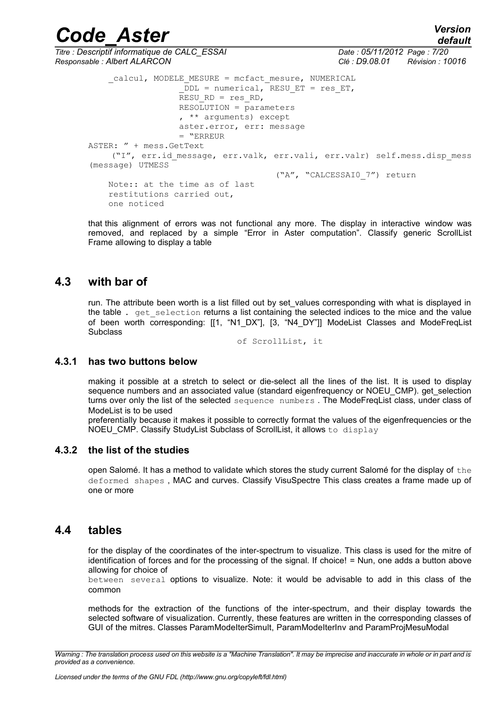## *default*

*Code\_Aster Version Titre : Descriptif informatique de CALC\_ESSAI Date : 05/11/2012 Page : 7/20 Responsable : Albert ALARCON Clé : D9.08.01 Révision : 10016* calcul, MODELE MESURE = mcfact mesure, NUMERICAL  $DDL$  = numerical, RESU ET = res ET,  $RESURD = res RD$ ,  $RESOLUTION =  $parameters$$  , \*\* arguments) except aster.error, err: message

 = "ERREUR ASTER: " + mess.GetText ("I", err.id\_message, err.valk, err.vali, err.valr) self.mess.disp\_mess (message) UTMESS ("A", "CALCESSAI0\_7") return Note:: at the time as of last

 restitutions carried out, one noticed

that this alignment of errors was not functional any more. The display in interactive window was removed, and replaced by a simple "Error in Aster computation". Classify generic ScrollList Frame allowing to display a table

## **4.3 with bar of**

run. The attribute been worth is a list filled out by set values corresponding with what is displayed in the table . get selection returns a list containing the selected indices to the mice and the value of been worth corresponding: [[1, "N1\_DX"], [3, "N4\_DY"]] ModeList Classes and ModeFreqList **Subclass** 

of ScrollList, it

#### **4.3.1 has two buttons below**

making it possible at a stretch to select or die-select all the lines of the list. It is used to display sequence numbers and an associated value (standard eigenfrequency or NOEU\_CMP). get\_selection turns over only the list of the selected sequence numbers. The ModeFreqList class, under class of ModeList is to be used

preferentially because it makes it possible to correctly format the values of the eigenfrequencies or the NOEU CMP. Classify StudyList Subclass of ScrollList, it allows to display

#### **4.3.2 the list of the studies**

open Salomé. It has a method to validate which stores the study current Salomé for the display of  $the$ deformed shapes , MAC and curves. Classify VisuSpectre This class creates a frame made up of one or more

## **4.4 tables**

for the display of the coordinates of the inter-spectrum to visualize. This class is used for the mitre of identification of forces and for the processing of the signal. If choice! = Nun, one adds a button above allowing for choice of

between several options to visualize. Note: it would be advisable to add in this class of the common

methods for the extraction of the functions of the inter-spectrum, and their display towards the selected software of visualization. Currently, these features are written in the corresponding classes of GUI of the mitres. Classes ParamModeIterSimult, ParamModeIterInv and ParamProjMesuModal

*Warning : The translation process used on this website is a "Machine Translation". It may be imprecise and inaccurate in whole or in part and is provided as a convenience.*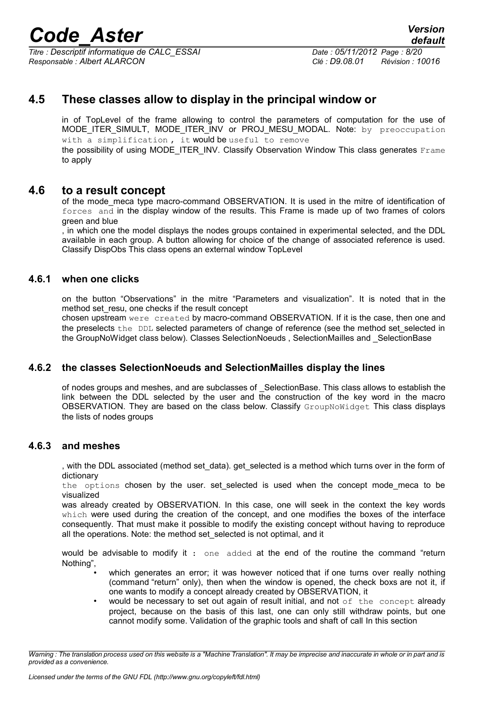*Titre : Descriptif informatique de CALC\_ESSAI Date : 05/11/2012 Page : 8/20 Responsable : Albert ALARCON Clé : D9.08.01 Révision : 10016*

*default*

## **4.5 These classes allow to display in the principal window or**

in of TopLevel of the frame allowing to control the parameters of computation for the use of MODE ITER SIMULT, MODE ITER INV or PROJ MESU MODAL. Note: by preoccupation with a simplification, it would be useful to remove

the possibility of using MODE\_ITER\_INV. Classify Observation Window This class generates Frame to apply

### **4.6 to a result concept**

of the mode meca type macro-command OBSERVATION. It is used in the mitre of identification of forces and in the display window of the results. This Frame is made up of two frames of colors green and blue

, in which one the model displays the nodes groups contained in experimental selected, and the DDL available in each group. A button allowing for choice of the change of associated reference is used. Classify DispObs This class opens an external window TopLevel

#### **4.6.1 when one clicks**

on the button "Observations" in the mitre "Parameters and visualization". It is noted that in the method set resu, one checks if the result concept

chosen upstream were created by macro-command OBSERVATION. If it is the case, then one and the preselects the DDL selected parameters of change of reference (see the method set\_selected in the GroupNoWidget class below). Classes SelectionNoeuds , SelectionMailles and \_SelectionBase

#### **4.6.2 the classes SelectionNoeuds and SelectionMailles display the lines**

of nodes groups and meshes, and are subclasses of SelectionBase. This class allows to establish the link between the DDL selected by the user and the construction of the key word in the macro OBSERVATION. They are based on the class below. Classify GroupNoWidget This class displays the lists of nodes groups

#### **4.6.3 and meshes**

, with the DDL associated (method set\_data). get\_selected is a method which turns over in the form of dictionary

the options chosen by the user. set selected is used when the concept mode meca to be visualized

was already created by OBSERVATION. In this case, one will seek in the context the key words which were used during the creation of the concept, and one modifies the boxes of the interface consequently. That must make it possible to modify the existing concept without having to reproduce all the operations. Note: the method set\_selected is not optimal, and it

would be advisable to modify it : one added at the end of the routine the command "return Nothing",

- which generates an error; it was however noticed that if one turns over really nothing (command "return" only), then when the window is opened, the check boxs are not it, if one wants to modify a concept already created by OBSERVATION, it
- would be necessary to set out again of result initial, and not  $of$  the concept already project, because on the basis of this last, one can only still withdraw points, but one cannot modify some. Validation of the graphic tools and shaft of call In this section

*Warning : The translation process used on this website is a "Machine Translation". It may be imprecise and inaccurate in whole or in part and is provided as a convenience.*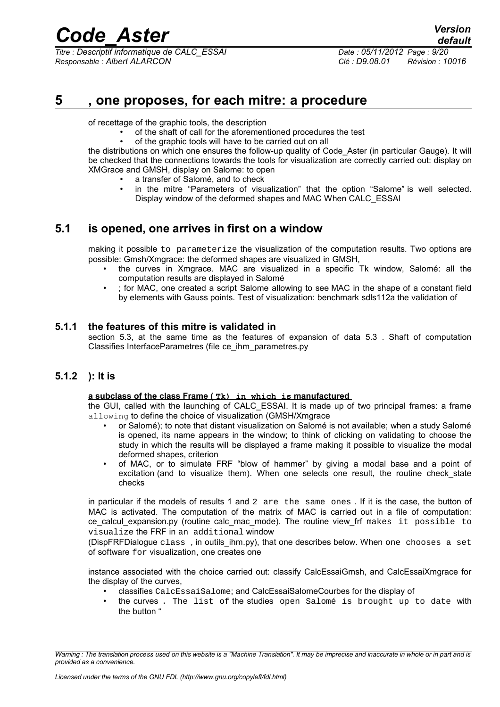*Titre : Descriptif informatique de CALC\_ESSAI Date : 05/11/2012 Page : 9/20 Responsable : Albert ALARCON Clé : D9.08.01 Révision : 10016*

## **5 , one proposes, for each mitre: a procedure**

of recettage of the graphic tools, the description

- of the shaft of call for the aforementioned procedures the test
- of the graphic tools will have to be carried out on all

the distributions on which one ensures the follow-up quality of Code\_Aster (in particular Gauge). It will be checked that the connections towards the tools for visualization are correctly carried out: display on XMGrace and GMSH, display on Salome: to open

- a transfer of Salomé, and to check
- in the mitre "Parameters of visualization" that the option "Salome" is well selected. Display window of the deformed shapes and MAC When CALC\_ESSAI

## **5.1 is opened, one arrives in first on a window**

making it possible to parameterize the visualization of the computation results. Two options are possible: Gmsh/Xmgrace: the deformed shapes are visualized in GMSH,

- the curves in Xmgrace. MAC are visualized in a specific Tk window, Salomé: all the computation results are displayed in Salomé
- ; for MAC, one created a script Salome allowing to see MAC in the shape of a constant field by elements with Gauss points. Test of visualization: benchmark sdls112a the validation of

#### **5.1.1 the features of this mitre is validated in**

section 5.3, at the same time as the features of expansion of data [5.3](#page-14-0) . Shaft of computation Classifies InterfaceParametres (file ce\_ihm\_parametres.py

### **5.1.2 ): It is**

#### **a subclass of the class Frame ( Tk) in which is manufactured**

the GUI, called with the launching of CALC\_ESSAI. It is made up of two principal frames: a frame allowing to define the choice of visualization (GMSH/Xmgrace

- or Salomé); to note that distant visualization on Salomé is not available; when a study Salomé is opened, its name appears in the window; to think of clicking on validating to choose the study in which the results will be displayed a frame making it possible to visualize the modal deformed shapes, criterion
- of MAC, or to simulate FRF "blow of hammer" by giving a modal base and a point of excitation (and to visualize them). When one selects one result, the routine check state checks

in particular if the models of results 1 and 2 are the same ones . If it is the case, the button of MAC is activated. The computation of the matrix of MAC is carried out in a file of computation: ce calcul expansion.py (routine calc mac mode). The routine view frf makes it possible to visualize the FRF in an additional window

(DispFRFDialogue class , in outils\_ihm.py), that one describes below. When one chooses a set of software for visualization, one creates one

instance associated with the choice carried out: classify CalcEssaiGmsh, and CalcEssaiXmgrace for the display of the curves,

- classifies CalcEssaiSalome; and CalcEssaiSalomeCourbes for the display of
- the curves . The list of the studies open Salomé is brought up to date with the button "

*Warning : The translation process used on this website is a "Machine Translation". It may be imprecise and inaccurate in whole or in part and is provided as a convenience.*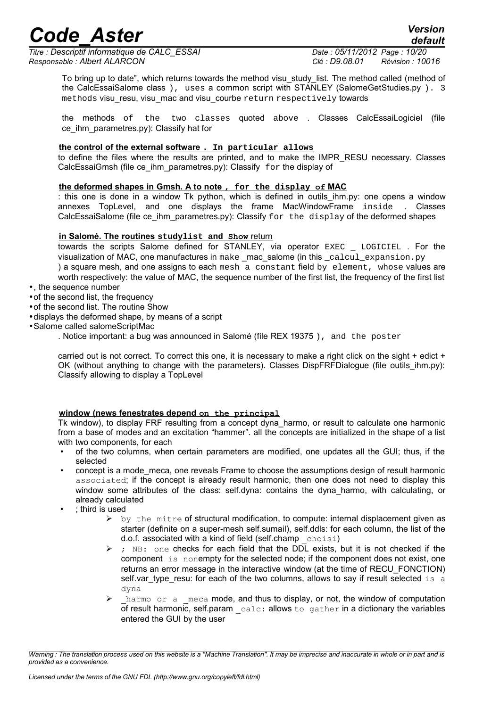*Titre : Descriptif informatique de CALC\_ESSAI Date : 05/11/2012 Page : 10/20 Responsable : Albert ALARCON Clé : D9.08.01 Révision : 10016*

*default*

To bring up to date", which returns towards the method visu\_study\_list. The method called (method of the CalcEssaiSalome class ), uses a common script with STANLEY (SalomeGetStudies.py ). 3 methods visu resu, visu mac and visu courbe return respectively towards

the methods of the two classes quoted above . Classes CalcEssaiLogiciel (file ce ihm parametres.py): Classify hat for

#### **the control of the external software . In particular allows**

to define the files where the results are printed, and to make the IMPR\_RESU necessary. Classes CalcEssaiGmsh (file ce ihm parametres.py): Classify  $for the display of$ 

#### **the deformed shapes in Gmsh. A to note , for the display of MAC**

: this one is done in a window Tk python, which is defined in outils ihm.py: one opens a window annexes TopLevel, and one displays the frame MacWindowFrame inside . Classes CalcEssaiSalome (file ce ihm parametres.py): Classify for the display of the deformed shapes

#### **in Salomé. The routines studylist and Show** return

towards the scripts Salome defined for STANLEY, via operator EXEC \_ LOGICIEL . For the visualization of MAC, one manufactures in make \_mac\_salome (in this \_calcul\_expansion.py ) a square mesh, and one assigns to each mesh a constant field by element, whose values are worth respectively: the value of MAC, the sequence number of the first list, the frequency of the first list

•, the sequence number

- •of the second list, the frequency
- •of the second list. The routine Show
- •displays the deformed shape, by means of a script
- •Salome called salomeScriptMac
	- . Notice important: a bug was announced in Salomé (file REX 19375 ), and the poster

carried out is not correct. To correct this one, it is necessary to make a right click on the sight + edict + OK (without anything to change with the parameters). Classes DispFRFDialogue (file outils ihm.py): Classify allowing to display a TopLevel

#### **window (news fenestrates depend on the principal**

Tk window), to display FRF resulting from a concept dyna\_harmo, or result to calculate one harmonic from a base of modes and an excitation "hammer". all the concepts are initialized in the shape of a list with two components, for each

- of the two columns, when certain parameters are modified, one updates all the GUI; thus, if the selected
- concept is a mode\_meca, one reveals Frame to choose the assumptions design of result harmonic associated; if the concept is already result harmonic, then one does not need to display this window some attributes of the class: self.dyna: contains the dyna harmo, with calculating, or already calculated
- ; third is used
	- $\triangleright$  by the mitre of structural modification, to compute: internal displacement given as starter (definite on a super-mesh self.sumail), self.ddls: for each column, the list of the d.o.f. associated with a kind of field (self.champ  $choisi)$
	- $\triangleright$  ; NB: one checks for each field that the DDL exists, but it is not checked if the component is nonempty for the selected node; if the component does not exist, one returns an error message in the interactive window (at the time of RECU\_FONCTION) self.var\_type\_resu: for each of the two columns, allows to say if result selected is a dyna
	- harmo or a meca mode, and thus to display, or not, the window of computation of result harmonic, self.param \_calc: allows to gather in a dictionary the variables entered the GUI by the user

*Warning : The translation process used on this website is a "Machine Translation". It may be imprecise and inaccurate in whole or in part and is provided as a convenience.*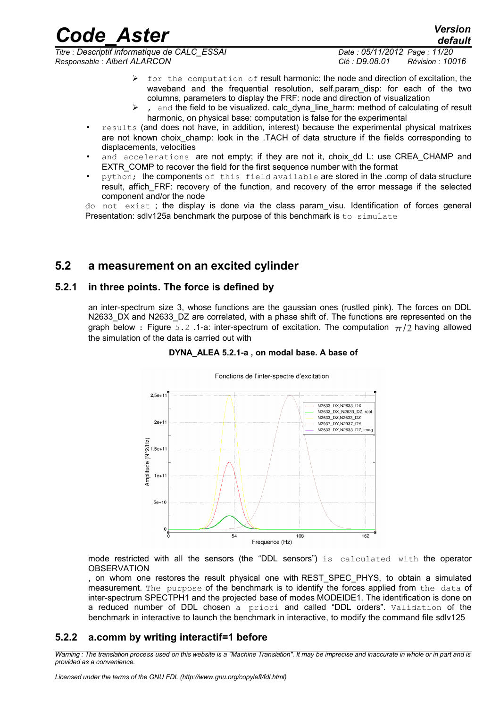*Titre : Descriptif informatique de CALC\_ESSAI Date : 05/11/2012 Page : 11/20 Responsable : Albert ALARCON Clé : D9.08.01 Révision : 10016*

- ➢ for the computation of result harmonic: the node and direction of excitation, the waveband and the frequential resolution, self.param\_disp: for each of the two columns, parameters to display the FRF: node and direction of visualization
- and the field to be visualized, calc dyna line harm: method of calculating of result harmonic, on physical base: computation is false for the experimental
- results (and does not have, in addition, interest) because the experimental physical matrixes are not known choix champ: look in the .TACH of data structure if the fields corresponding to displacements, velocities
- and accelerations are not empty; if they are not it, choix\_dd L: use CREA\_CHAMP and EXTR\_COMP to recover the field for the first sequence number with the format
- python; the components of this field available are stored in the .comp of data structure result, affich FRF: recovery of the function, and recovery of the error message if the selected component and/or the node

do not exist ; the display is done via the class param\_visu. Identification of forces general Presentation: sdlv125a benchmark the purpose of this benchmark is to simulate

### **5.2 a measurement on an excited cylinder**

#### **5.2.1 in three points. The force is defined by**

an inter-spectrum size 3, whose functions are the gaussian ones (rustled pink). The forces on DDL N2633 DX and N2633 DZ are correlated, with a phase shift of. The functions are represented on the graph below : Figure 5.2 .1-a: inter-spectrum of excitation. The computation  $\pi/2$  having allowed the simulation of the data is carried out with

#### **DYNA\_ALEA 5.2.1-a , on modal base. A base of**



mode restricted with all the sensors (the "DDL sensors") is calculated with the operator **OBSERVATION** 

, on whom one restores the result physical one with REST\_SPEC\_PHYS, to obtain a simulated measurement. The purpose of the benchmark is to identify the forces applied from the data of inter-spectrum SPECTPH1 and the projected base of modes MODEIDE1. The identification is done on a reduced number of DDL chosen a priori and called "DDL orders". Validation of the benchmark in interactive to launch the benchmark in interactive, to modify the command file sdlv125

### **5.2.2 a.comm by writing interactif=1 before**

*Warning : The translation process used on this website is a "Machine Translation". It may be imprecise and inaccurate in whole or in part and is provided as a convenience.*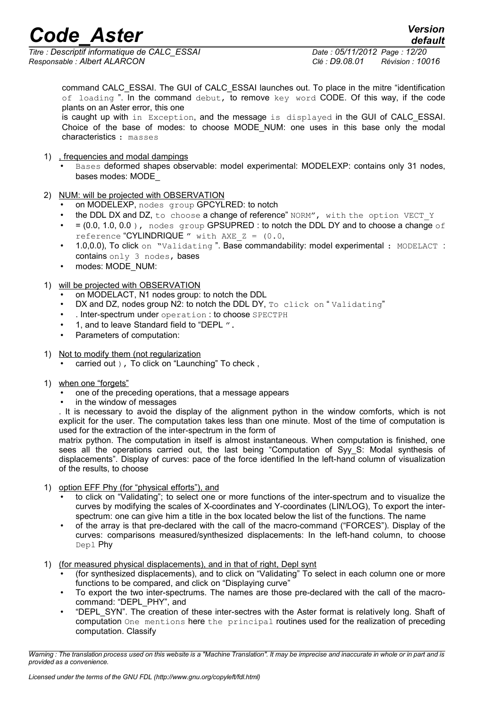*Titre : Descriptif informatique de CALC\_ESSAI Date : 05/11/2012 Page : 12/20 Responsable : Albert ALARCON Clé : D9.08.01 Révision : 10016*

command CALC\_ESSAI. The GUI of CALC\_ESSAI launches out. To place in the mitre "identification of loading ". In the command debut, to remove key word CODE. Of this way, if the code plants on an Aster error, this one

is caught up with in Exception, and the message is displayed in the GUI of CALC\_ESSAI. Choice of the base of modes: to choose MODE NUM: one uses in this base only the modal characteristics : masses

- 1) , frequencies and modal dampings
	- Bases deformed shapes observable: model experimental: MODELEXP: contains only 31 nodes, bases modes: MODE\_
- 2) NUM: will be projected with OBSERVATION
	- on MODELEXP, nodes group GPCYLRED: to notch
	- the DDL DX and DZ, to choose a change of reference" NORM", with the option VECT Y
	- $\bullet$  = (0.0, 1.0, 0.0), nodes group GPSUPRED : to notch the DDL DY and to choose a change of reference "CYLINDRIQUE" with  $AXE$   $Z = (0.0, 0.0)$
	- 1.0,0.0), To click on "Validating". Base commandability: model experimental : MODELACT : contains only 3 nodes, bases
	- modes: MODE\_NUM:

#### 1) will be projected with OBSERVATION

- on MODELACT, N1 nodes group: to notch the DDL
- DX and DZ, nodes group N2: to notch the DDL DY, To click on "Validating"
- . Inter-spectrum under operation : to choose SPECTPH
- 1, and to leave Standard field to "DEPL ".
- Parameters of computation:
- 1) Not to modify them (not regularization

carried out ), To click on "Launching" To check,

- 1) when one "forgets"
	- one of the preceding operations, that a message appears
	- in the window of messages

. It is necessary to avoid the display of the alignment python in the window comforts, which is not explicit for the user. The computation takes less than one minute. Most of the time of computation is used for the extraction of the inter-spectrum in the form of

matrix python. The computation in itself is almost instantaneous. When computation is finished, one sees all the operations carried out, the last being "Computation of Syy\_S: Modal synthesis of displacements". Display of curves: pace of the force identified In the left-hand column of visualization of the results, to choose

- 1) option EFF Phy (for "physical efforts"), and
	- to click on "Validating"; to select one or more functions of the inter-spectrum and to visualize the curves by modifying the scales of X-coordinates and Y-coordinates (LIN/LOG), To export the interspectrum: one can give him a title in the box located below the list of the functions. The name
	- of the array is that pre-declared with the call of the macro-command ("FORCES"). Display of the curves: comparisons measured/synthesized displacements: In the left-hand column, to choose Depl Phy
- 1) (for measured physical displacements), and in that of right, Depl synt
	- (for synthesized displacements), and to click on "Validating" To select in each column one or more functions to be compared, and click on "Displaying curve"
	- To export the two inter-spectrums. The names are those pre-declared with the call of the macrocommand: "DEPL\_PHY", and
	- "DEPL\_SYN". The creation of these inter-sectres with the Aster format is relatively long. Shaft of computation One mentions here the principal routines used for the realization of preceding computation. Classify

*Warning : The translation process used on this website is a "Machine Translation". It may be imprecise and inaccurate in whole or in part and is provided as a convenience.*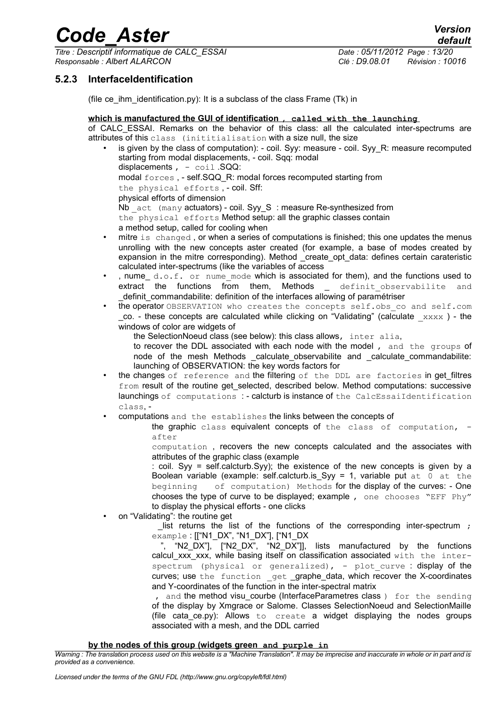*Titre : Descriptif informatique de CALC\_ESSAI Date : 05/11/2012 Page : 13/20 Responsable : Albert ALARCON Clé : D9.08.01 Révision : 10016*

### **5.2.3 InterfaceIdentification**

(file ce ihm identification.py): It is a subclass of the class Frame (Tk) in

#### **which is manufactured the GUI of identification , called with the launching**

of CALC\_ESSAI. Remarks on the behavior of this class: all the calculated inter-spectrums are attributes of this class (inititialisation with a size null, the size

- is given by the class of computation): coil. Syy: measure coil. Syy. R: measure recomputed starting from modal displacements, - coil. Sqq: modal displacements  $, - \text{coil}$  . SQQ: modal forces , - self.SQQ\_R: modal forces recomputed starting from the physical efforts , - coil. Sff: physical efforts of dimension Nb act (many actuators) - coil. Syy\_S : measure Re-synthesized from the physical efforts Method setup: all the graphic classes contain a method setup, called for cooling when
- mitre is changed, or when a series of computations is finished; this one updates the menus unrolling with the new concepts aster created (for example, a base of modes created by expansion in the mitre corresponding). Method \_create\_opt\_data: defines certain carateristic calculated inter-spectrums (like the variables of access
- , nume d.o.f. or nume mode which is associated for them), and the functions used to extract the functions from them, Methods \_ definit\_observabilite and \_definit\_commandabilite: definition of the interfaces allowing of paramétriser
- the operator OBSERVATION who creates the concepts self.obs co and self.com  $\Box$ co. - these concepts are calculated while clicking on "Validating" (calculate  $\Box$ xxxx ) - the windows of color are widgets of
	- the SelectionNoeud class (see below): this class allows, inter alia,
	- to recover the DDL associated with each node with the model , and the groups of node of the mesh Methods calculate observabilite and calculate commandabilite: launching of OBSERVATION: the key words factors for
- the changes of reference and the filtering of the DDL are factories in get\_filtres from result of the routine get selected, described below. Method computations: successive launchings of computations : - calcturb is instance of the CalcEssaiIdentification class, -
- computations and the establishes the links between the concepts of

the graphic class equivalent concepts of the class of computation, after

computation , recovers the new concepts calculated and the associates with attributes of the graphic class (example

: coil. Syy = self.calcturb.Syy); the existence of the new concepts is given by a Boolean variable (example: self.calcturb.is Syy = 1, variable put  $at$  0 at the beginning of computation) Methods for the display of the curves: - One chooses the type of curve to be displayed; example , one chooses "EFF Phy" to display the physical efforts - one clicks

• on "Validating": the routine get

list returns the list of the functions of the corresponding inter-spectrum ; example : [["N1\_DX", "N1\_DX"], ["N1\_DX

", "N2 DX"], ["N2 DX", "N2 DX"]], lists manufactured by the functions calcul xxx xxx, while basing itself on classification associated with the interspectrum (physical or generalized), - plot curve : display of the curves; use the function \_get \_graphe\_data, which recover the X-coordinates and Y-coordinates of the function in the inter-spectral matrix

, and the method visu courbe (InterfaceParametres class ) for the sending of the display by Xmgrace or Salome. Classes SelectionNoeud and SelectionMaille (file cata\_ce.py): Allows to create a widget displaying the nodes groups associated with a mesh, and the DDL carried

#### **by the nodes of this group (widgets green and purple in**

*Warning : The translation process used on this website is a "Machine Translation". It may be imprecise and inaccurate in whole or in part and is provided as a convenience.*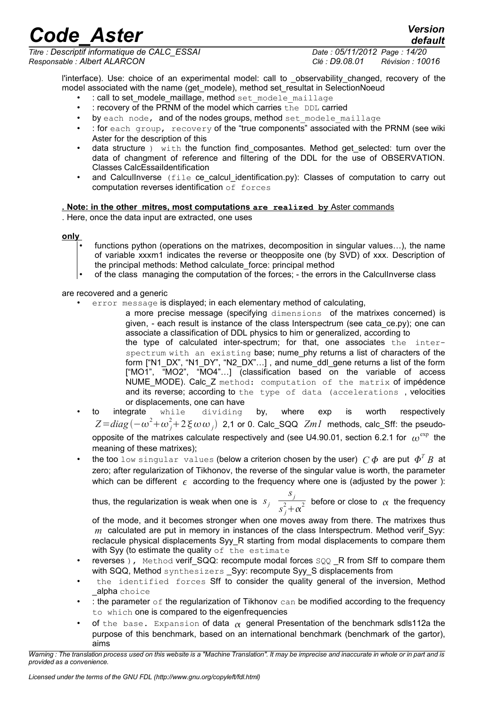*Titre : Descriptif informatique de CALC\_ESSAI Date : 05/11/2012 Page : 14/20 Responsable : Albert ALARCON Clé : D9.08.01 Révision : 10016*

*default*

l'interface). Use: choice of an experimental model: call to observability\_changed, recovery of the model associated with the name (get modele), method set resultat in SelectionNoeud

- : call to set\_modele\_maillage, method set modele maillage
- : recovery of the PRNM of the model which carries the DDL carried
- by each node, and of the nodes groups, method set modele maillage
- : for each group, recovery of the "true components" associated with the PRNM (see wiki Aster for the description of this
- data structure ) with the function find composantes. Method get selected: turn over the data of changment of reference and filtering of the DDL for the use of OBSERVATION. Classes CalcEssaiIdentification
- and CalculInverse (file ce\_calcul\_identification.py): Classes of computation to carry out computation reverses identification of forces

#### **. Note: in the other mitres, most computations are realized by** Aster commands

. Here, once the data input are extracted, one uses

#### **only**

- functions python (operations on the matrixes, decomposition in singular values...), the name of variable xxxm1 indicates the reverse or theopposite one (by SVD) of xxx. Description of the principal methods: Method calculate\_force: principal method
- of the class managing the computation of the forces; the errors in the CalculInverse class

are recovered and a generic

error message is displayed; in each elementary method of calculating,

a more precise message (specifying dimensions of the matrixes concerned) is given, - each result is instance of the class Interspectrum (see cata\_ce.py); one can associate a classification of DDL physics to him or generalized, according to

the type of calculated inter-spectrum; for that, one associates the interspectrum with an existing base; nume\_phy returns a list of characters of the form ["N1\_DX", "N1\_DY", "N2\_DX"…] , and nume\_ddl\_gene returns a list of the form ["MO1", "MO2", "MO4"…] (classification based on the variable of access NUME\_MODE). Calc\_Z method: computation of the matrix of impédence and its reverse; according to the type of data (accelerations , velocities or displacements, one can have

- to integrate while dividing by, where exp is worth respectively  $Z\!=\!diag\left(-\omega^2\!+\!\omega_j^2\!+\!2\,\xi\,\omega\,\omega_j\right)$  2,1 or 0. Calc\_SQQ  $\!ZmI$  methods, calc\_Sff: the pseudoopposite of the matrixes calculate respectively and (see U4.90.01, section 6.2.1 for  $\omega^{\rm exp}$  the meaning of these matrixes);
- the too low singular values (below a criterion chosen by the user) *C* are put *T B* at zero; after regularization of Tikhonov, the reverse of the singular value is worth, the parameter which can be different  $\epsilon$  according to the frequency where one is (adjusted by the power):

thus, the regularization is weak when one is *s<sup>j</sup> sj*  $\sqrt{s^2 + \alpha^2}$  before or close to  $\alpha$  the frequency

of the mode, and it becomes stronger when one moves away from there. The matrixes thus *m* calculated are put in memory in instances of the class Interspectrum. Method verif Syy: reclacule physical displacements Syy\_R starting from modal displacements to compare them with Syy (to estimate the quality of the estimate

- reverses ), Method verif\_SQQ: recompute modal forces SQQ \_R from Sff to compare them with SQQ, Method synthesizers \_Syy: recompute Syy\_S displacements from
- the identified forces Sff to consider the quality general of the inversion, Method alpha choice
- : the parameter  $\circ$  f the regularization of Tikhonov can be modified according to the frequency to which one is compared to the eigenfrequencies
- of the base. Expansion of data  $\alpha$  general Presentation of the benchmark sdls112a the purpose of this benchmark, based on an international benchmark (benchmark of the gartor), aims

*Warning : The translation process used on this website is a "Machine Translation". It may be imprecise and inaccurate in whole or in part and is provided as a convenience.*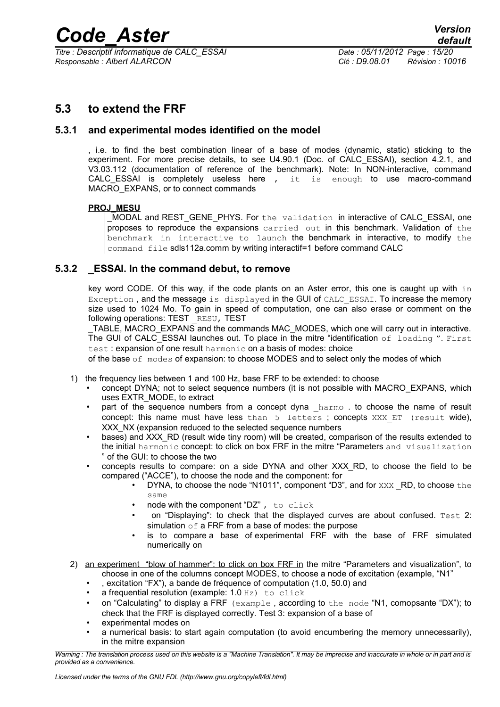*Titre : Descriptif informatique de CALC\_ESSAI Date : 05/11/2012 Page : 15/20 Responsable : Albert ALARCON Clé : D9.08.01 Révision : 10016*

## <span id="page-14-0"></span>**5.3 to extend the FRF**

#### **5.3.1 and experimental modes identified on the model**

, i.e. to find the best combination linear of a base of modes (dynamic, static) sticking to the experiment. For more precise details, to see U4.90.1 (Doc. of CALC\_ESSAI), section 4.2.1, and V3.03.112 (documentation of reference of the benchmark). Note: In NON-interactive, command CALC ESSAI is completely useless here , it is enough to use macro-command MACRO EXPANS, or to connect commands

#### **PROJ\_MESU**

MODAL and REST\_GENE\_PHYS. For the validation in interactive of CALC\_ESSAI, one proposes to reproduce the expansions carried out in this benchmark. Validation of the benchmark in interactive to launch the benchmark in interactive, to modify the command file sdls112a.comm by writing interactif=1 before command CALC

#### **5.3.2 \_ESSAI. In the command debut, to remove**

key word CODE. Of this way, if the code plants on an Aster error, this one is caught up with in Exception, and the message is displayed in the GUI of CALC\_ESSAI. To increase the memory size used to 1024 Mo. To gain in speed of computation, one can also erase or comment on the following operations: TEST RESU, TEST

TABLE, MACRO EXPANS and the commands MAC\_MODES, which one will carry out in interactive. The GUI of CALC ESSAI launches out. To place in the mitre "identification of loading ". First test : expansion of one result harmonic on a basis of modes: choice

of the base of modes of expansion: to choose MODES and to select only the modes of which

- 1) the frequency lies between 1 and 100 Hz, base FRF to be extended: to choose
	- concept DYNA; not to select sequence numbers (it is not possible with MACRO\_EXPANS, which uses EXTR\_MODE, to extract
	- part of the sequence numbers from a concept dyna harmo . to choose the name of result concept: this name must have less than  $5$  letters; concepts XXX ET (result wide), XXX\_NX (expansion reduced to the selected sequence numbers
	- bases) and XXX, RD (result wide tiny room) will be created, comparison of the results extended to the initial harmonic concept: to click on box FRF in the mitre "Parameters and visualization " of the GUI: to choose the two
	- concepts results to compare: on a side DYNA and other XXX\_RD, to choose the field to be compared ("ACCE"), to choose the node and the component: for
		- DYNA, to choose the node "N1011", component "D3", and for XXX RD, to choose the same
		- node with the component "DZ" , to click
		- on "Displaying": to check that the displayed curves are about confused. Test 2: simulation  $\circ$  f a FRF from a base of modes: the purpose
		- is to compare a base of experimental FRF with the base of FRF simulated numerically on
- 2) an experiment "blow of hammer": to click on box FRF in the mitre "Parameters and visualization", to choose in one of the columns concept MODES, to choose a node of excitation (example, "N1"
	- , excitation "FX"), a bande de fréquence of computation (1.0, 50.0) and
	- a frequential resolution (example: 1.0 Hz) to click
	- on "Calculating" to display a FRF  $(e \times a \text{mple})$ , according to the node "N1, comopsante "DX"); to check that the FRF is displayed correctly. Test 3: expansion of a base of
	- experimental modes on
	- a numerical basis: to start again computation (to avoid encumbering the memory unnecessarily), in the mitre expansion

*Warning : The translation process used on this website is a "Machine Translation". It may be imprecise and inaccurate in whole or in part and is provided as a convenience.*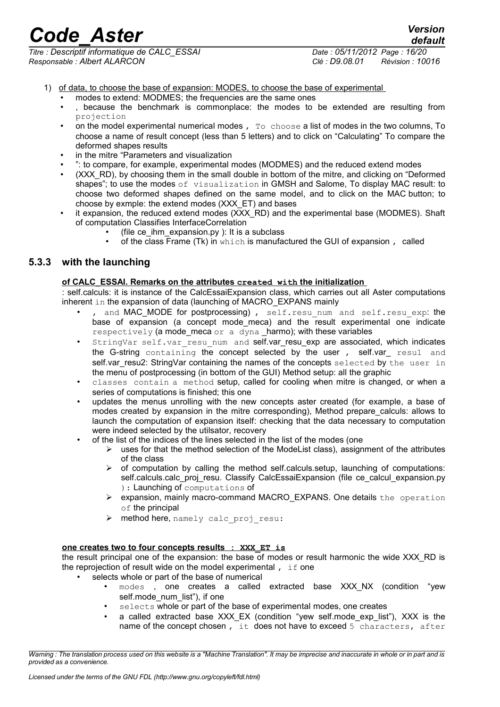*Titre : Descriptif informatique de CALC\_ESSAI Date : 05/11/2012 Page : 16/20 Responsable : Albert ALARCON Clé : D9.08.01 Révision : 10016*

- 1) of data, to choose the base of expansion: MODES, to choose the base of experimental
	- modes to extend: MODMES; the frequencies are the same ones
	- , because the benchmark is commonplace: the modes to be extended are resulting from projection
	- on the model experimental numerical modes , To choose a list of modes in the two columns, To choose a name of result concept (less than 5 letters) and to click on "Calculating" To compare the deformed shapes results
	- in the mitre "Parameters and visualization
	- ": to compare, for example, experimental modes (MODMES) and the reduced extend modes
	- (XXX RD), by choosing them in the small double in bottom of the mitre, and clicking on "Deformed" shapes"; to use the modes of visualization in GMSH and Salome, To display MAC result: to choose two deformed shapes defined on the same model, and to click on the MAC button; to choose by exmple: the extend modes (XXX\_ET) and bases
	- it expansion, the reduced extend modes (XXX\_RD) and the experimental base (MODMES). Shaft of computation Classifies InterfaceCorrelation
		- (file ce ihm expansion.py ): It is a subclass
		- of the class Frame (Tk) in which is manufactured the GUI of expansion, called

### **5.3.3 with the launching**

#### **of CALC\_ESSAI. Remarks on the attributes created with the initialization**

self.calculs: it is instance of the CalcEssaiExpansion class, which carries out all Aster computations inherent in the expansion of data (launching of MACRO EXPANS mainly

- and MAC\_MODE for postprocessing), self.resu num and self.resu exp: the base of expansion (a concept mode meca) and the result experimental one indicate respectively (a mode meca or a dyna harmo); with these variables
- StringVar self.var resu num and self.var resu exp are associated, which indicates the G-string containing the concept selected by the user, self.var resul and self.var resu2: StringVar containing the names of the concepts selected by the user in the menu of postprocessing (in bottom of the GUI) Method setup: all the graphic
- classes contain a method setup, called for cooling when mitre is changed, or when a series of computations is finished; this one
- updates the menus unrolling with the new concepts aster created (for example, a base of modes created by expansion in the mitre corresponding), Method prepare\_calculs: allows to launch the computation of expansion itself: checking that the data necessary to computation were indeed selected by the utilsator, recovery
	- of the list of the indices of the lines selected in the list of the modes (one
		- $\triangleright$  uses for that the method selection of the ModeList class), assignment of the attributes of the class
		- $\triangleright$  of computation by calling the method self.calculs.setup, launching of computations: self.calculs.calc\_proj\_resu. Classify CalcEssaiExpansion (file ce\_calcul\_expansion.py ): Launching of computations of
		- ➢ expansion, mainly macro-command MACRO\_EXPANS. One details the operation of the principal
		- ➢ method here, namely calc\_proj\_resu:

#### **one creates two to four concepts results : XXX\_ET is**

the result principal one of the expansion: the base of modes or result harmonic the wide XXX RD is the reprojection of result wide on the model experimental , if one

- selects whole or part of the base of numerical
	- modes, one creates a called extracted base XXX\_NX (condition "yew self.mode\_num\_list"), if one
	- selects whole or part of the base of experimental modes, one creates
	- a called extracted base XXX EX (condition "yew self.mode exp list"), XXX is the name of the concept chosen, it does not have to exceed  $5$  characters, after

*Warning : The translation process used on this website is a "Machine Translation". It may be imprecise and inaccurate in whole or in part and is provided as a convenience.*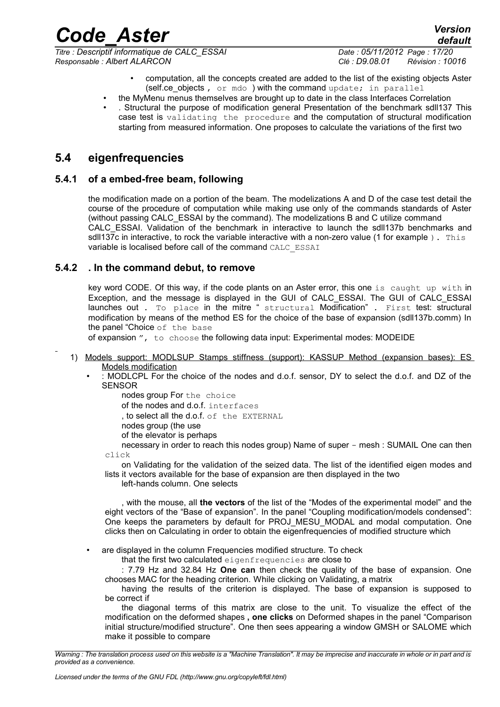*Responsable : Albert ALARCON Clé : D9.08.01 Révision : 10016*

*default Titre : Descriptif informatique de CALC\_ESSAI Date : 05/11/2012 Page : 17/20*

- computation, all the concepts created are added to the list of the existing objects Aster (self.ce objects, or mdo ) with the command update; in parallel
- the MyMenu menus themselves are brought up to date in the class Interfaces Correlation
- . Structural the purpose of modification general Presentation of the benchmark sdll137 This case test is validating the procedure and the computation of structural modification starting from measured information. One proposes to calculate the variations of the first two

## **5.4 eigenfrequencies**

#### **5.4.1 of a embed-free beam, following**

the modification made on a portion of the beam. The modelizations A and D of the case test detail the course of the procedure of computation while making use only of the commands standards of Aster (without passing CALC\_ESSAI by the command). The modelizations B and C utilize command CALC\_ESSAI. Validation of the benchmark in interactive to launch the sdll137b benchmarks and sdll137c in interactive, to rock the variable interactive with a non-zero value (1 for example). This variable is localised before call of the command CALC\_ESSAI

#### **5.4.2 . In the command debut, to remove**

key word CODE. Of this way, if the code plants on an Aster error, this one is caught up with in Exception, and the message is displayed in the GUI of CALC\_ESSAI. The GUI of CALC\_ESSAI launches out . To place in the mitre " structural Modification" . First test: structural modification by means of the method ES for the choice of the base of expansion (sdll137b.comm) In the panel "Choice of the base

of expansion ", to choose the following data input: Experimental modes: MODEIDE

- 1) Models support: MODLSUP Stamps stiffness (support): KASSUP Method (expansion bases): ES Models modification
	- : MODLCPL For the choice of the nodes and d.o.f. sensor, DY to select the d.o.f. and DZ of the SENSOR

nodes group For the choice of the nodes and d.o.f. interfaces , to select all the d.o.f. of the EXTERNAL nodes group (the use of the elevator is perhaps necessary in order to reach this nodes group) Name of super - mesh : SUMAIL One can then

click

on Validating for the validation of the seized data. The list of the identified eigen modes and lists it vectors available for the base of expansion are then displayed in the two

left-hands column. One selects

, with the mouse, all **the vectors** of the list of the "Modes of the experimental model" and the eight vectors of the "Base of expansion". In the panel "Coupling modification/models condensed": One keeps the parameters by default for PROJ MESU MODAL and modal computation. One clicks then on Calculating in order to obtain the eigenfrequencies of modified structure which

• are displayed in the column Frequencies modified structure. To check

that the first two calculated eigenfrequencies are close to

: 7.79 Hz and 32.84 Hz **One can** then check the quality of the base of expansion. One chooses MAC for the heading criterion. While clicking on Validating, a matrix

having the results of the criterion is displayed. The base of expansion is supposed to be correct if

the diagonal terms of this matrix are close to the unit. To visualize the effect of the modification on the deformed shapes **, one clicks** on Deformed shapes in the panel "Comparison initial structure/modified structure". One then sees appearing a window GMSH or SALOME which make it possible to compare

*Warning : The translation process used on this website is a "Machine Translation". It may be imprecise and inaccurate in whole or in part and is provided as a convenience.*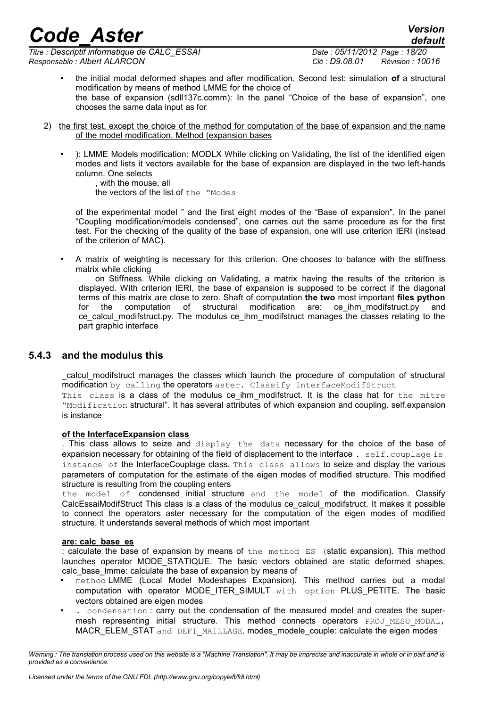*Titre : Descriptif informatique de CALC\_ESSAI Date : 05/11/2012 Page : 18/20 Responsable : Albert ALARCON Clé : D9.08.01 Révision : 10016*

*default*

- the initial modal deformed shapes and after modification. Second test: simulation **of** a structural modification by means of method LMME for the choice of the base of expansion (sdll137c.comm): In the panel "Choice of the base of expansion", one chooses the same data input as for
- 2) the first test, except the choice of the method for computation of the base of expansion and the name of the model modification. Method (expansion bases
	- ): LMME Models modification: MODLX While clicking on Validating, the list of the identified eigen modes and lists it vectors available for the base of expansion are displayed in the two left-hands column. One selects

, with the mouse, all the vectors of the list of the "Modes

of the experimental model " and the first eight modes of the "Base of expansion". In the panel "Coupling modification/models condensed", one carries out the same procedure as for the first test. For the checking of the quality of the base of expansion, one will use criterion IERI (instead of the criterion of MAC).

• A matrix of weighting is necessary for this criterion. One chooses to balance with the stiffness matrix while clicking

on Stiffness. While clicking on Validating, a matrix having the results of the criterion is displayed. With criterion IERI, the base of expansion is supposed to be correct if the diagonal terms of this matrix are close to zero. Shaft of computation **the two** most important **files python** for the computation of structural modification are: ce\_ihm\_modifstruct.py and ce calcul modifstruct.py. The modulus ce ihm modifstruct manages the classes relating to the part graphic interface

### **5.4.3 and the modulus this**

\_calcul\_modifstruct manages the classes which launch the procedure of computation of structural modification by calling the operators aster. Classify InterfaceModifStruct This class is a class of the modulus ce\_ihm\_modifstruct. It is the class hat for the mitre "Modification structural". It has several attributes of which expansion and coupling. self.expansion is instance

#### **of the InterfaceExpansion class**

. This class allows to seize and display the data necessary for the choice of the base of expansion necessary for obtaining of the field of displacement to the interface. self.couplage is instance of the InterfaceCouplage class. This class allows to seize and display the various parameters of computation for the estimate of the eigen modes of modified structure. This modified structure is resulting from the coupling enters

the model of condensed initial structure and the model of the modification. Classify CalcEssaiModifStruct This class is a class of the modulus ce\_calcul\_modifstruct. It makes it possible to connect the operators aster necessary for the computation of the eigen modes of modified structure. It understands several methods of which most important

#### **are: calc\_base\_es**

: calculate the base of expansion by means of the method ES (static expansion). This method launches operator MODE\_STATIQUE. The basic vectors obtained are static deformed shapes. calc\_base\_lmme: calculate the base of expansion by means of

- method LMME (Local Model Modeshapes Expansion). This method carries out a modal computation with operator MODE ITER SIMULT  $with$  option PLUS PETITE. The basic vectors obtained are eigen modes
- . condensation : carry out the condensation of the measured model and creates the supermesh representing initial structure. This method connects operators PROJ\_MESU\_MODAL, MACR\_ELEM\_STAT and DEFI\_MAILLAGE. modes\_modele\_couple: calculate the eigen modes

*Warning : The translation process used on this website is a "Machine Translation". It may be imprecise and inaccurate in whole or in part and is provided as a convenience.*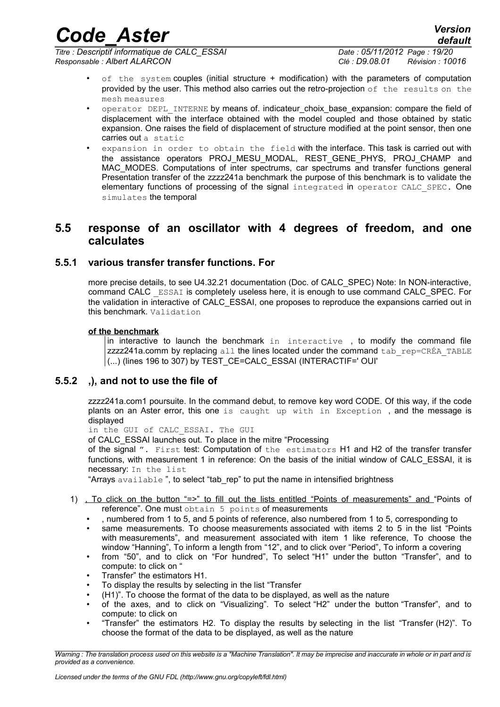*Titre : Descriptif informatique de CALC\_ESSAI Date : 05/11/2012 Page : 19/20 Responsable : Albert ALARCON Clé : D9.08.01 Révision : 10016*

*default*

- of the system couples (initial structure + modification) with the parameters of computation provided by the user. This method also carries out the retro-projection of the results on the mesh measures
- operator DEPL\_INTERNE by means of. indicateur\_choix\_base\_expansion: compare the field of  $displacement$  with the interface obtained with the model coupled and those obtained by static expansion. One raises the field of displacement of structure modified at the point sensor, then one carries out a static
- expansion in order to obtain the field with the interface. This task is carried out with the assistance operators PROJ\_MESU\_MODAL, REST\_GENE\_PHYS, PROJ\_CHAMP and MAC\_MODES. Computations of inter spectrums, car spectrums and transfer functions general Presentation transfer of the zzzz241a benchmark the purpose of this benchmark is to validate the elementary functions of processing of the signal integrated in operator CALC\_SPEC. One simulates the temporal

### <span id="page-18-0"></span>**5.5 response of an oscillator with 4 degrees of freedom, and one calculates**

#### **5.5.1 various transfer transfer functions. For**

more precise details, to see U4.32.21 documentation (Doc. of CALC\_SPEC) Note: In NON-interactive, command CALC \_ESSAI is completely useless here, it is enough to use command CALC\_SPEC. For the validation in interactive of CALC\_ESSAI, one proposes to reproduce the expansions carried out in this benchmark. Validation

#### **of the benchmark**

in interactive to launch the benchmark in interactive , to modify the command file  $zzzz241a$ .comm by replacing all the lines located under the command tab  $r = CRÉA$  TABLE  $\vert$  (...) (lines 196 to 307) by TEST\_CE=CALC\_ESSAI (INTERACTIF=' OUI'

#### **5.5.2 ,), and not to use the file of**

zzzz241a.com1 poursuite. In the command debut, to remove key word CODE. Of this way, if the code plants on an Aster error, this one is caught up with in Exception , and the message is displayed

in the GUI of CALC\_ESSAI. The GUI

of CALC\_ESSAI launches out. To place in the mitre "Processing

of the signal ". First test: Computation of the estimators H1 and H2 of the transfer transfer functions, with measurement 1 in reference: On the basis of the initial window of CALC\_ESSAI, it is necessary: In the list

"Arrays available", to select "tab rep" to put the name in intensified brightness

- 1) , To click on the button "=>" to fill out the lists entitled "Points of measurements" and "Points of reference". One must obtain 5 points of measurements
	- , numbered from 1 to 5, and 5 points of reference, also numbered from 1 to 5, corresponding to
	- same measurements. To choose measurements associated with items 2 to 5 in the list "Points with measurements", and measurement associated with item 1 like reference, To choose the window "Hanning", To inform a length from "12", and to click over "Period", To inform a covering
	- from "50", and to click on "For hundred", To select "H1" under the button "Transfer", and to compute: to click on "
	- Transfer" the estimators H1.
	- To display the results by selecting in the list "Transfer
	- (H1)". To choose the format of the data to be displayed, as well as the nature  $\cdot$  of the axes and to click on "Visualizing". To select "H2" under the butto
	- of the axes, and to click on "Visualizing". To select "H2" under the button "Transfer", and to compute: to click on
	- "Transfer" the estimators H2. To display the results by selecting in the list "Transfer (H2)". To choose the format of the data to be displayed, as well as the nature

*Warning : The translation process used on this website is a "Machine Translation". It may be imprecise and inaccurate in whole or in part and is provided as a convenience.*